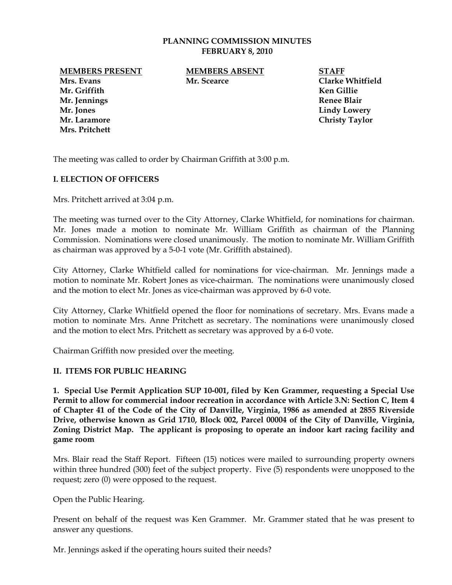#### **PLANNING COMMISSION MINUTES FEBRUARY 8, 2010**

**MEMBERS PRESENT MEMBERS ABSENT STAFF**

**Mr. Griffith Ken Gillie Mr. Jennings Renee Blair Mr. Jones** Lindy Lowery **Lindy Lowery** Mr. Laramore **Christy Taylor Mrs. Pritchett** 

**Mrs. Evans Mr. Scearce Clarke Whitfield** 

The meeting was called to order by Chairman Griffith at 3:00 p.m.

# **I. ELECTION OF OFFICERS**

Mrs. Pritchett arrived at 3:04 p.m.

The meeting was turned over to the City Attorney, Clarke Whitfield, for nominations for chairman. Mr. Jones made a motion to nominate Mr. William Griffith as chairman of the Planning Commission. Nominations were closed unanimously. The motion to nominate Mr. William Griffith as chairman was approved by a 5-0-1 vote (Mr. Griffith abstained).

City Attorney, Clarke Whitfield called for nominations for vice-chairman. Mr. Jennings made a motion to nominate Mr. Robert Jones as vice-chairman. The nominations were unanimously closed and the motion to elect Mr. Jones as vice-chairman was approved by 6-0 vote.

City Attorney, Clarke Whitfield opened the floor for nominations of secretary. Mrs. Evans made a motion to nominate Mrs. Anne Pritchett as secretary. The nominations were unanimously closed and the motion to elect Mrs. Pritchett as secretary was approved by a 6-0 vote.

Chairman Griffith now presided over the meeting.

# **II. ITEMS FOR PUBLIC HEARING**

**1. Special Use Permit Application SUP 10-001, filed by Ken Grammer, requesting a Special Use Permit to allow for commercial indoor recreation in accordance with Article 3.N: Section C, Item 4 of Chapter 41 of the Code of the City of Danville, Virginia, 1986 as amended at 2855 Riverside Drive, otherwise known as Grid 1710, Block 002, Parcel 00004 of the City of Danville, Virginia, Zoning District Map. The applicant is proposing to operate an indoor kart racing facility and game room** 

Mrs. Blair read the Staff Report. Fifteen (15) notices were mailed to surrounding property owners within three hundred (300) feet of the subject property. Five (5) respondents were unopposed to the request; zero (0) were opposed to the request.

Open the Public Hearing.

Present on behalf of the request was Ken Grammer. Mr. Grammer stated that he was present to answer any questions.

Mr. Jennings asked if the operating hours suited their needs?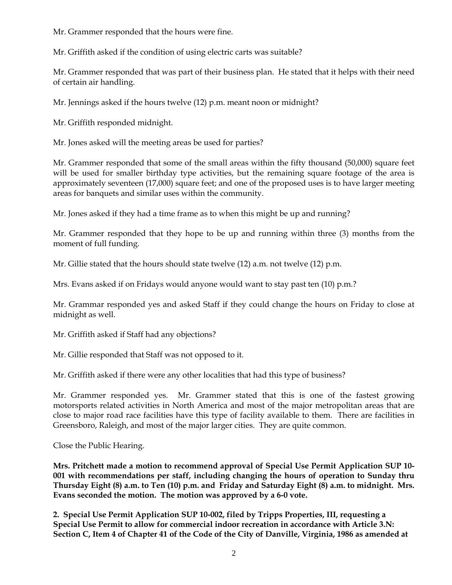Mr. Grammer responded that the hours were fine.

Mr. Griffith asked if the condition of using electric carts was suitable?

Mr. Grammer responded that was part of their business plan. He stated that it helps with their need of certain air handling.

Mr. Jennings asked if the hours twelve (12) p.m. meant noon or midnight?

Mr. Griffith responded midnight.

Mr. Jones asked will the meeting areas be used for parties?

Mr. Grammer responded that some of the small areas within the fifty thousand (50,000) square feet will be used for smaller birthday type activities, but the remaining square footage of the area is approximately seventeen (17,000) square feet; and one of the proposed uses is to have larger meeting areas for banquets and similar uses within the community.

Mr. Jones asked if they had a time frame as to when this might be up and running?

Mr. Grammer responded that they hope to be up and running within three (3) months from the moment of full funding.

Mr. Gillie stated that the hours should state twelve (12) a.m. not twelve (12) p.m.

Mrs. Evans asked if on Fridays would anyone would want to stay past ten (10) p.m.?

Mr. Grammar responded yes and asked Staff if they could change the hours on Friday to close at midnight as well.

Mr. Griffith asked if Staff had any objections?

Mr. Gillie responded that Staff was not opposed to it.

Mr. Griffith asked if there were any other localities that had this type of business?

Mr. Grammer responded yes. Mr. Grammer stated that this is one of the fastest growing motorsports related activities in North America and most of the major metropolitan areas that are close to major road race facilities have this type of facility available to them. There are facilities in Greensboro, Raleigh, and most of the major larger cities. They are quite common.

Close the Public Hearing.

**Mrs. Pritchett made a motion to recommend approval of Special Use Permit Application SUP 10- 001 with recommendations per staff, including changing the hours of operation to Sunday thru Thursday Eight (8) a.m. to Ten (10) p.m. and Friday and Saturday Eight (8) a.m. to midnight. Mrs. Evans seconded the motion. The motion was approved by a 6-0 vote.** 

**2. Special Use Permit Application SUP 10-002, filed by Tripps Properties, III, requesting a Special Use Permit to allow for commercial indoor recreation in accordance with Article 3.N: Section C, Item 4 of Chapter 41 of the Code of the City of Danville, Virginia, 1986 as amended at**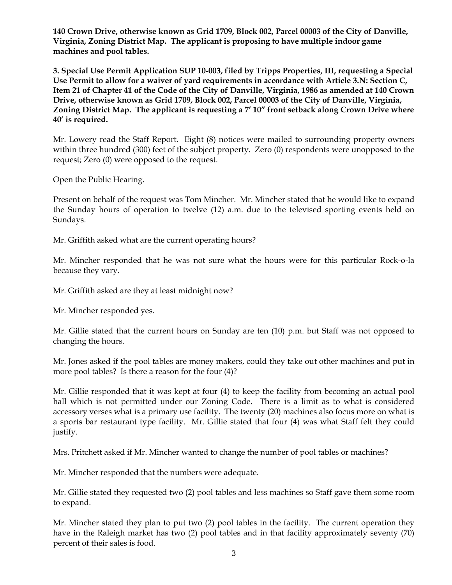**140 Crown Drive, otherwise known as Grid 1709, Block 002, Parcel 00003 of the City of Danville, Virginia, Zoning District Map. The applicant is proposing to have multiple indoor game machines and pool tables.** 

**3. Special Use Permit Application SUP 10-003, filed by Tripps Properties, III, requesting a Special Use Permit to allow for a waiver of yard requirements in accordance with Article 3.N: Section C, Item 21 of Chapter 41 of the Code of the City of Danville, Virginia, 1986 as amended at 140 Crown Drive, otherwise known as Grid 1709, Block 002, Parcel 00003 of the City of Danville, Virginia, Zoning District Map. The applicant is requesting a 7' 10" front setback along Crown Drive where 40' is required.** 

Mr. Lowery read the Staff Report. Eight (8) notices were mailed to surrounding property owners within three hundred (300) feet of the subject property. Zero (0) respondents were unopposed to the request; Zero (0) were opposed to the request.

Open the Public Hearing.

Present on behalf of the request was Tom Mincher. Mr. Mincher stated that he would like to expand the Sunday hours of operation to twelve (12) a.m. due to the televised sporting events held on Sundays.

Mr. Griffith asked what are the current operating hours?

Mr. Mincher responded that he was not sure what the hours were for this particular Rock-o-la because they vary.

Mr. Griffith asked are they at least midnight now?

Mr. Mincher responded yes.

Mr. Gillie stated that the current hours on Sunday are ten (10) p.m. but Staff was not opposed to changing the hours.

Mr. Jones asked if the pool tables are money makers, could they take out other machines and put in more pool tables? Is there a reason for the four (4)?

Mr. Gillie responded that it was kept at four (4) to keep the facility from becoming an actual pool hall which is not permitted under our Zoning Code. There is a limit as to what is considered accessory verses what is a primary use facility. The twenty (20) machines also focus more on what is a sports bar restaurant type facility. Mr. Gillie stated that four (4) was what Staff felt they could justify.

Mrs. Pritchett asked if Mr. Mincher wanted to change the number of pool tables or machines?

Mr. Mincher responded that the numbers were adequate.

Mr. Gillie stated they requested two (2) pool tables and less machines so Staff gave them some room to expand.

Mr. Mincher stated they plan to put two (2) pool tables in the facility. The current operation they have in the Raleigh market has two (2) pool tables and in that facility approximately seventy (70) percent of their sales is food.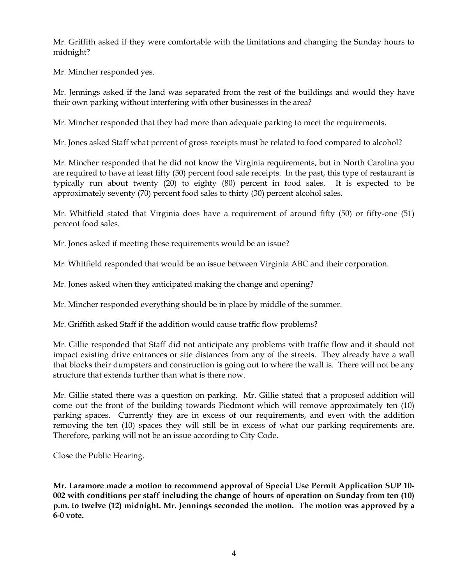Mr. Griffith asked if they were comfortable with the limitations and changing the Sunday hours to midnight?

Mr. Mincher responded yes.

Mr. Jennings asked if the land was separated from the rest of the buildings and would they have their own parking without interfering with other businesses in the area?

Mr. Mincher responded that they had more than adequate parking to meet the requirements.

Mr. Jones asked Staff what percent of gross receipts must be related to food compared to alcohol?

Mr. Mincher responded that he did not know the Virginia requirements, but in North Carolina you are required to have at least fifty (50) percent food sale receipts. In the past, this type of restaurant is typically run about twenty (20) to eighty (80) percent in food sales. It is expected to be approximately seventy (70) percent food sales to thirty (30) percent alcohol sales.

Mr. Whitfield stated that Virginia does have a requirement of around fifty (50) or fifty-one (51) percent food sales.

Mr. Jones asked if meeting these requirements would be an issue?

Mr. Whitfield responded that would be an issue between Virginia ABC and their corporation.

Mr. Jones asked when they anticipated making the change and opening?

Mr. Mincher responded everything should be in place by middle of the summer.

Mr. Griffith asked Staff if the addition would cause traffic flow problems?

Mr. Gillie responded that Staff did not anticipate any problems with traffic flow and it should not impact existing drive entrances or site distances from any of the streets. They already have a wall that blocks their dumpsters and construction is going out to where the wall is. There will not be any structure that extends further than what is there now.

Mr. Gillie stated there was a question on parking. Mr. Gillie stated that a proposed addition will come out the front of the building towards Piedmont which will remove approximately ten (10) parking spaces. Currently they are in excess of our requirements, and even with the addition removing the ten (10) spaces they will still be in excess of what our parking requirements are. Therefore, parking will not be an issue according to City Code.

Close the Public Hearing.

**Mr. Laramore made a motion to recommend approval of Special Use Permit Application SUP 10- 002 with conditions per staff including the change of hours of operation on Sunday from ten (10) p.m. to twelve (12) midnight. Mr. Jennings seconded the motion. The motion was approved by a 6-0 vote.**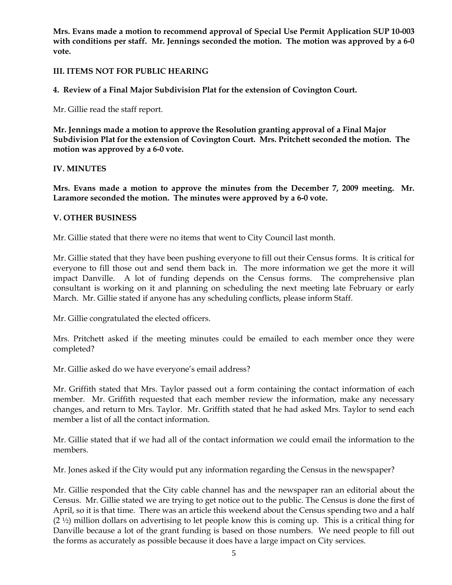**Mrs. Evans made a motion to recommend approval of Special Use Permit Application SUP 10-003 with conditions per staff. Mr. Jennings seconded the motion. The motion was approved by a 6-0 vote.** 

# **III. ITEMS NOT FOR PUBLIC HEARING**

**4. Review of a Final Major Subdivision Plat for the extension of Covington Court.** 

Mr. Gillie read the staff report.

**Mr. Jennings made a motion to approve the Resolution granting approval of a Final Major Subdivision Plat for the extension of Covington Court. Mrs. Pritchett seconded the motion. The motion was approved by a 6-0 vote.** 

# **IV. MINUTES**

**Mrs. Evans made a motion to approve the minutes from the December 7, 2009 meeting. Mr. Laramore seconded the motion. The minutes were approved by a 6-0 vote.** 

### **V. OTHER BUSINESS**

Mr. Gillie stated that there were no items that went to City Council last month.

Mr. Gillie stated that they have been pushing everyone to fill out their Census forms. It is critical for everyone to fill those out and send them back in. The more information we get the more it will impact Danville. A lot of funding depends on the Census forms. The comprehensive plan consultant is working on it and planning on scheduling the next meeting late February or early March. Mr. Gillie stated if anyone has any scheduling conflicts, please inform Staff.

Mr. Gillie congratulated the elected officers.

Mrs. Pritchett asked if the meeting minutes could be emailed to each member once they were completed?

Mr. Gillie asked do we have everyone's email address?

Mr. Griffith stated that Mrs. Taylor passed out a form containing the contact information of each member. Mr. Griffith requested that each member review the information, make any necessary changes, and return to Mrs. Taylor. Mr. Griffith stated that he had asked Mrs. Taylor to send each member a list of all the contact information.

Mr. Gillie stated that if we had all of the contact information we could email the information to the members.

Mr. Jones asked if the City would put any information regarding the Census in the newspaper?

Mr. Gillie responded that the City cable channel has and the newspaper ran an editorial about the Census. Mr. Gillie stated we are trying to get notice out to the public. The Census is done the first of April, so it is that time. There was an article this weekend about the Census spending two and a half  $(2 \frac{1}{2})$  million dollars on advertising to let people know this is coming up. This is a critical thing for Danville because a lot of the grant funding is based on those numbers. We need people to fill out the forms as accurately as possible because it does have a large impact on City services.